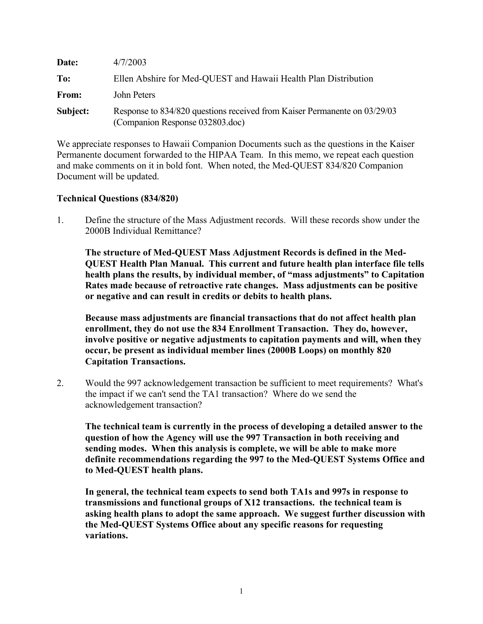| Date:    | 4/7/2003                                                                                                     |
|----------|--------------------------------------------------------------------------------------------------------------|
| To:      | Ellen Abshire for Med-QUEST and Hawaii Health Plan Distribution                                              |
| From:    | John Peters                                                                                                  |
| Subject: | Response to 834/820 questions received from Kaiser Permanente on 03/29/03<br>(Companion Response 032803.doc) |

We appreciate responses to Hawaii Companion Documents such as the questions in the Kaiser Permanente document forwarded to the HIPAA Team. In this memo, we repeat each question and make comments on it in bold font. When noted, the Med-QUEST 834/820 Companion Document will be updated.

#### **Technical Questions (834/820)**

1. Define the structure of the Mass Adjustment records. Will these records show under the 2000B Individual Remittance?

**The structure of Med-QUEST Mass Adjustment Records is defined in the Med-QUEST Health Plan Manual. This current and future health plan interface file tells health plans the results, by individual member, of "mass adjustments" to Capitation Rates made because of retroactive rate changes. Mass adjustments can be positive or negative and can result in credits or debits to health plans.**

**Because mass adjustments are financial transactions that do not affect health plan enrollment, they do not use the 834 Enrollment Transaction. They do, however, involve positive or negative adjustments to capitation payments and will, when they occur, be present as individual member lines (2000B Loops) on monthly 820 Capitation Transactions.**

2. Would the 997 acknowledgement transaction be sufficient to meet requirements? What's the impact if we can't send the TA1 transaction? Where do we send the acknowledgement transaction?

**The technical team is currently in the process of developing a detailed answer to the question of how the Agency will use the 997 Transaction in both receiving and sending modes. When this analysis is complete, we will be able to make more definite recommendations regarding the 997 to the Med-QUEST Systems Office and to Med-QUEST health plans.**

**In general, the technical team expects to send both TA1s and 997s in response to transmissions and functional groups of X12 transactions. the technical team is asking health plans to adopt the same approach. We suggest further discussion with the Med-QUEST Systems Office about any specific reasons for requesting variations.**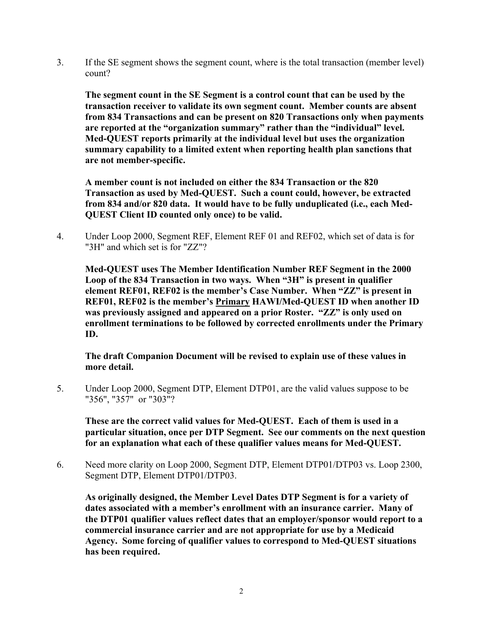3. If the SE segment shows the segment count, where is the total transaction (member level) count?

**The segment count in the SE Segment is a control count that can be used by the transaction receiver to validate its own segment count. Member counts are absent from 834 Transactions and can be present on 820 Transactions only when payments are reported at the "organization summary" rather than the "individual" level. Med-QUEST reports primarily at the individual level but uses the organization summary capability to a limited extent when reporting health plan sanctions that are not member-specific.**

**A member count is not included on either the 834 Transaction or the 820 Transaction as used by Med-QUEST. Such a count could, however, be extracted from 834 and/or 820 data. It would have to be fully unduplicated (i.e., each Med-QUEST Client ID counted only once) to be valid.**

4. Under Loop 2000, Segment REF, Element REF 01 and REF02, which set of data is for "3H" and which set is for "ZZ"?

**Med-QUEST uses The Member Identification Number REF Segment in the 2000 Loop of the 834 Transaction in two ways. When "3H" is present in qualifier element REF01, REF02 is the member's Case Number. When "ZZ" is present in REF01, REF02 is the member's Primary HAWI/Med-QUEST ID when another ID was previously assigned and appeared on a prior Roster. "ZZ" is only used on enrollment terminations to be followed by corrected enrollments under the Primary ID.**

**The draft Companion Document will be revised to explain use of these values in more detail.**

5. Under Loop 2000, Segment DTP, Element DTP01, are the valid values suppose to be "356", "357" or "303"?

**These are the correct valid values for Med-QUEST. Each of them is used in a particular situation, once per DTP Segment. See our comments on the next question for an explanation what each of these qualifier values means for Med-QUEST.**

6. Need more clarity on Loop 2000, Segment DTP, Element DTP01/DTP03 vs. Loop 2300, Segment DTP, Element DTP01/DTP03.

**As originally designed, the Member Level Dates DTP Segment is for a variety of dates associated with a member's enrollment with an insurance carrier. Many of the DTP01 qualifier values reflect dates that an employer/sponsor would report to a commercial insurance carrier and are not appropriate for use by a Medicaid Agency. Some forcing of qualifier values to correspond to Med-QUEST situations has been required.**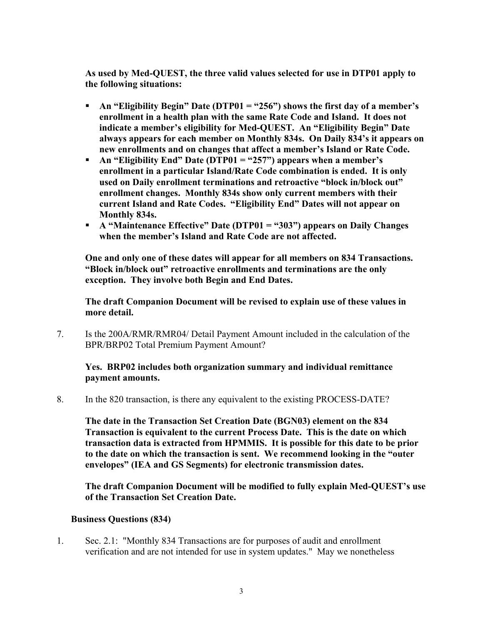**As used by Med-QUEST, the three valid values selected for use in DTP01 apply to the following situations:**

- **An "Eligibility Begin" Date (DTP01 = "256") shows the first day of a member's enrollment in a health plan with the same Rate Code and Island. It does not indicate a member's eligibility for Med-QUEST. An "Eligibility Begin" Date always appears for each member on Monthly 834s. On Daily 834's it appears on new enrollments and on changes that affect a member's Island or Rate Code.**
- **An "Eligibility End" Date (DTP01 = "257") appears when a member's enrollment in a particular Island/Rate Code combination is ended. It is only used on Daily enrollment terminations and retroactive "block in/block out" enrollment changes. Monthly 834s show only current members with their current Island and Rate Codes. "Eligibility End" Dates will not appear on Monthly 834s.**
- **A "Maintenance Effective" Date (DTP01 = "303") appears on Daily Changes when the member's Island and Rate Code are not affected.**

**One and only one of these dates will appear for all members on 834 Transactions. "Block in/block out" retroactive enrollments and terminations are the only exception. They involve both Begin and End Dates.**

**The draft Companion Document will be revised to explain use of these values in more detail.**

7. Is the 200A/RMR/RMR04/ Detail Payment Amount included in the calculation of the BPR/BRP02 Total Premium Payment Amount?

## **Yes. BRP02 includes both organization summary and individual remittance payment amounts.**

8. In the 820 transaction, is there any equivalent to the existing PROCESS-DATE?

**The date in the Transaction Set Creation Date (BGN03) element on the 834 Transaction is equivalent to the current Process Date. This is the date on which transaction data is extracted from HPMMIS. It is possible for this date to be prior to the date on which the transaction is sent. We recommend looking in the "outer envelopes" (IEA and GS Segments) for electronic transmission dates.**

**The draft Companion Document will be modified to fully explain Med-QUEST's use of the Transaction Set Creation Date.**

## **Business Questions (834)**

1. Sec. 2.1: "Monthly 834 Transactions are for purposes of audit and enrollment verification and are not intended for use in system updates." May we nonetheless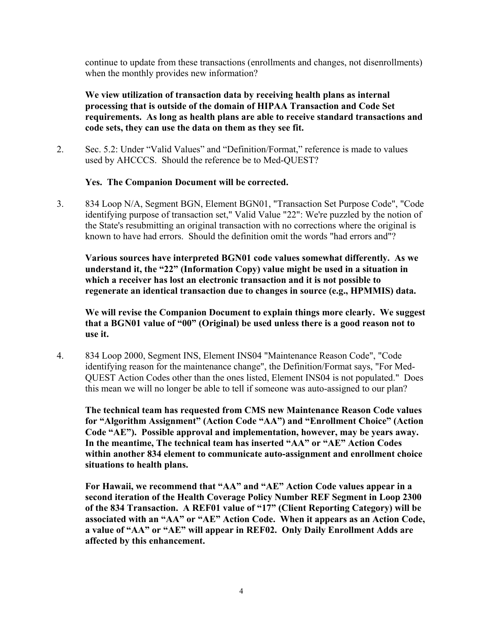continue to update from these transactions (enrollments and changes, not disenrollments) when the monthly provides new information?

## **We view utilization of transaction data by receiving health plans as internal processing that is outside of the domain of HIPAA Transaction and Code Set requirements. As long as health plans are able to receive standard transactions and code sets, they can use the data on them as they see fit.**

2. Sec. 5.2: Under "Valid Values" and "Definition/Format," reference is made to values used by AHCCCS. Should the reference be to Med-QUEST?

#### **Yes. The Companion Document will be corrected.**

3. 834 Loop N/A, Segment BGN, Element BGN01, "Transaction Set Purpose Code", "Code identifying purpose of transaction set," Valid Value "22": We're puzzled by the notion of the State's resubmitting an original transaction with no corrections where the original is known to have had errors. Should the definition omit the words "had errors and"?

**Various sources have interpreted BGN01 code values somewhat differently. As we understand it, the "22" (Information Copy) value might be used in a situation in which a receiver has lost an electronic transaction and it is not possible to regenerate an identical transaction due to changes in source (e.g., HPMMIS) data.**

**We will revise the Companion Document to explain things more clearly. We suggest that a BGN01 value of "00" (Original) be used unless there is a good reason not to use it.**

4. 834 Loop 2000, Segment INS, Element INS04 "Maintenance Reason Code", "Code identifying reason for the maintenance change", the Definition/Format says, "For Med-QUEST Action Codes other than the ones listed, Element INS04 is not populated." Does this mean we will no longer be able to tell if someone was auto-assigned to our plan?

**The technical team has requested from CMS new Maintenance Reason Code values for "Algorithm Assignment" (Action Code "AA") and "Enrollment Choice" (Action Code "AE"). Possible approval and implementation, however, may be years away. In the meantime, The technical team has inserted "AA" or "AE" Action Codes within another 834 element to communicate auto-assignment and enrollment choice situations to health plans.**

**For Hawaii, we recommend that "AA" and "AE" Action Code values appear in a second iteration of the Health Coverage Policy Number REF Segment in Loop 2300 of the 834 Transaction. A REF01 value of "17" (Client Reporting Category) will be associated with an "AA" or "AE" Action Code. When it appears as an Action Code, a value of "AA" or "AE" will appear in REF02. Only Daily Enrollment Adds are affected by this enhancement.**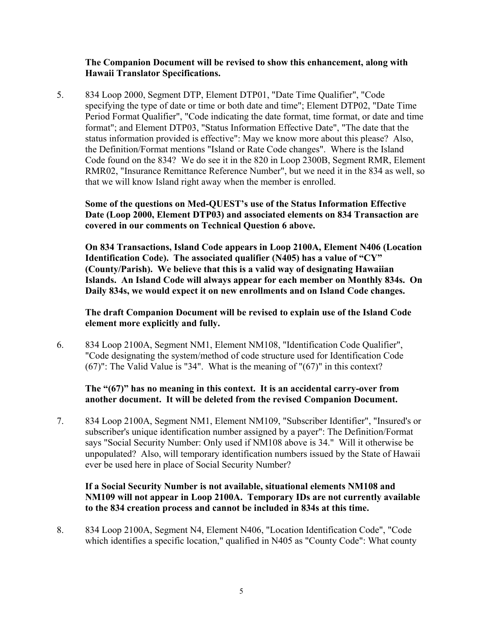#### **The Companion Document will be revised to show this enhancement, along with Hawaii Translator Specifications.**

5. 834 Loop 2000, Segment DTP, Element DTP01, "Date Time Qualifier", "Code specifying the type of date or time or both date and time"; Element DTP02, "Date Time Period Format Qualifier", "Code indicating the date format, time format, or date and time format"; and Element DTP03, "Status Information Effective Date", "The date that the status information provided is effective": May we know more about this please? Also, the Definition/Format mentions "Island or Rate Code changes". Where is the Island Code found on the 834? We do see it in the 820 in Loop 2300B, Segment RMR, Element RMR02, "Insurance Remittance Reference Number", but we need it in the 834 as well, so that we will know Island right away when the member is enrolled.

## **Some of the questions on Med-QUEST's use of the Status Information Effective Date (Loop 2000, Element DTP03) and associated elements on 834 Transaction are covered in our comments on Technical Question 6 above.**

**On 834 Transactions, Island Code appears in Loop 2100A, Element N406 (Location Identification Code). The associated qualifier (N405) has a value of "CY" (County/Parish). We believe that this is a valid way of designating Hawaiian Islands. An Island Code will always appear for each member on Monthly 834s. On Daily 834s, we would expect it on new enrollments and on Island Code changes.**

#### **The draft Companion Document will be revised to explain use of the Island Code element more explicitly and fully.**

6. 834 Loop 2100A, Segment NM1, Element NM108, "Identification Code Qualifier", "Code designating the system/method of code structure used for Identification Code (67)": The Valid Value is "34". What is the meaning of "(67)" in this context?

#### **The "(67)" has no meaning in this context. It is an accidental carry-over from another document. It will be deleted from the revised Companion Document.**

7. 834 Loop 2100A, Segment NM1, Element NM109, "Subscriber Identifier", "Insured's or subscriber's unique identification number assigned by a payer": The Definition/Format says "Social Security Number: Only used if NM108 above is 34." Will it otherwise be unpopulated? Also, will temporary identification numbers issued by the State of Hawaii ever be used here in place of Social Security Number?

## **If a Social Security Number is not available, situational elements NM108 and NM109 will not appear in Loop 2100A. Temporary IDs are not currently available to the 834 creation process and cannot be included in 834s at this time.**

8. 834 Loop 2100A, Segment N4, Element N406, "Location Identification Code", "Code which identifies a specific location," qualified in N405 as "County Code": What county